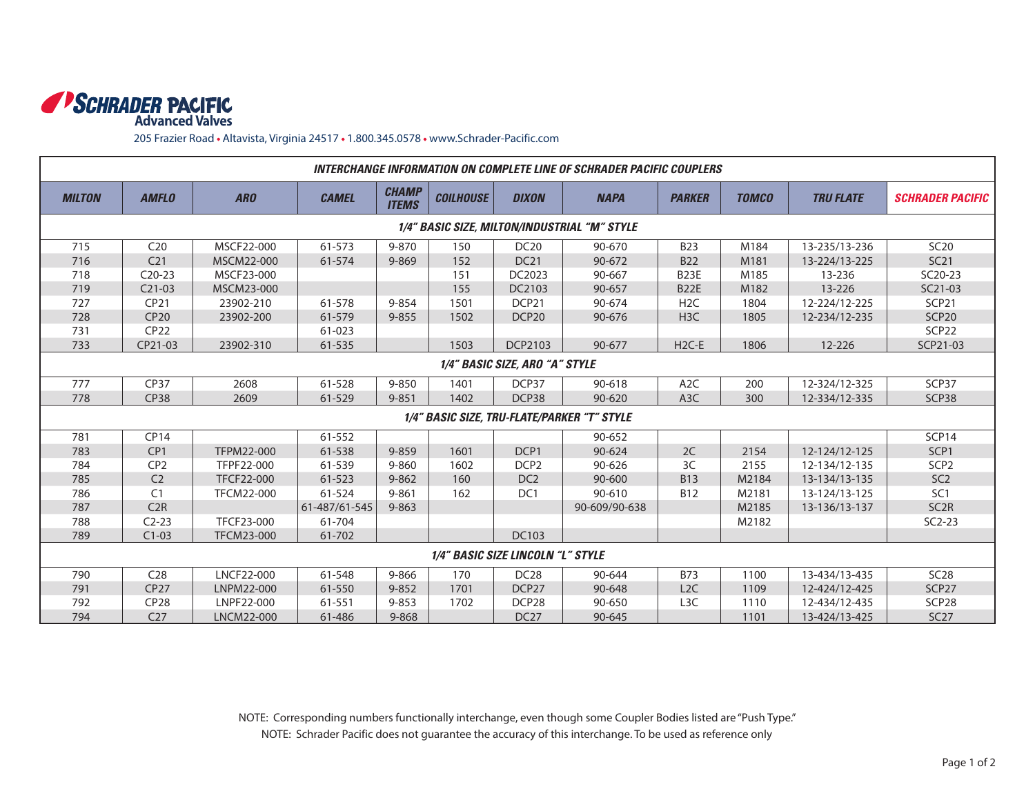

205 Frazier Road • Altavista, Virginia 24517 • 1.800.345.0578 • www.Schrader-Pacific.com

| INTERCHANGE INFORMATION ON COMPLETE LINE OF SCHRADER PACIFIC COUPLERS |                 |                   |               |                              |                  |                   |               |                  |              |                  |                         |
|-----------------------------------------------------------------------|-----------------|-------------------|---------------|------------------------------|------------------|-------------------|---------------|------------------|--------------|------------------|-------------------------|
| <b>MILTON</b>                                                         | <b>AMFLO</b>    | <b>ARO</b>        | <b>CAMEL</b>  | <b>CHAMP</b><br><b>ITEMS</b> | <b>COILHOUSE</b> | <b>DIXON</b>      | <b>NAPA</b>   | <b>PARKER</b>    | <b>TOMCO</b> | <b>TRU FLATE</b> | <b>SCHRADER PACIFIC</b> |
| 1/4" BASIC SIZE, MILTON/INDUSTRIAL "M" STYLE                          |                 |                   |               |                              |                  |                   |               |                  |              |                  |                         |
| 715                                                                   | C20             | MSCF22-000        | 61-573        | 9-870                        | 150              | <b>DC20</b>       | 90-670        | <b>B23</b>       | M184         | 13-235/13-236    | <b>SC20</b>             |
| 716                                                                   | C <sub>21</sub> | MSCM22-000        | 61-574        | $9 - 869$                    | 152              | <b>DC21</b>       | 90-672        | <b>B22</b>       | M181         | 13-224/13-225    | SC21                    |
| 718                                                                   | $C20-23$        | MSCF23-000        |               |                              | 151              | DC2023            | 90-667        | <b>B23E</b>      | M185         | 13-236           | SC20-23                 |
| 719                                                                   | $C21-03$        | MSCM23-000        |               |                              | 155              | DC2103            | 90-657        | <b>B22E</b>      | M182         | 13-226           | SC21-03                 |
| 727                                                                   | CP21            | 23902-210         | 61-578        | 9-854                        | 1501             | DCP <sub>21</sub> | 90-674        | H <sub>2</sub> C | 1804         | 12-224/12-225    | SCP <sub>21</sub>       |
| 728                                                                   | <b>CP20</b>     | 23902-200         | 61-579        | $9 - 855$                    | 1502             | DCP <sub>20</sub> | 90-676        | H <sub>3</sub> C | 1805         | 12-234/12-235    | SCP <sub>20</sub>       |
| 731                                                                   | <b>CP22</b>     |                   | 61-023        |                              |                  |                   |               |                  |              |                  | SCP <sub>22</sub>       |
| 733                                                                   | CP21-03         | 23902-310         | 61-535        |                              | 1503             | <b>DCP2103</b>    | 90-677        | $H2C-E$          | 1806         | 12-226           | SCP21-03                |
| 1/4" BASIC SIZE, ARO "A" STYLE                                        |                 |                   |               |                              |                  |                   |               |                  |              |                  |                         |
| 777                                                                   | <b>CP37</b>     | 2608              | 61-528        | $9 - 850$                    | 1401             | DCP37             | 90-618        | A <sub>2</sub> C | 200          | 12-324/12-325    | SCP37                   |
| 778                                                                   | <b>CP38</b>     | 2609              | 61-529        | $9 - 851$                    | 1402             | DCP38             | $90 - 620$    | A <sub>3</sub> C | 300          | 12-334/12-335    | SCP38                   |
| 1/4" BASIC SIZE, TRU-FLATE/PARKER "T" STYLE                           |                 |                   |               |                              |                  |                   |               |                  |              |                  |                         |
| 781                                                                   | <b>CP14</b>     |                   | 61-552        |                              |                  |                   | 90-652        |                  |              |                  | SCP <sub>14</sub>       |
| 783                                                                   | CP1             | TFPM22-000        | 61-538        | $9 - 859$                    | 1601             | DCP1              | 90-624        | 2C               | 2154         | 12-124/12-125    | SCP <sub>1</sub>        |
| 784                                                                   | CP <sub>2</sub> | TFPF22-000        | 61-539        | 9-860                        | 1602             | DCP <sub>2</sub>  | 90-626        | 3C               | 2155         | 12-134/12-135    | SCP <sub>2</sub>        |
| 785                                                                   | C <sub>2</sub>  | <b>TFCF22-000</b> | 61-523        | $9 - 862$                    | 160              | DC <sub>2</sub>   | 90-600        | <b>B13</b>       | M2184        | 13-134/13-135    | SC <sub>2</sub>         |
| 786                                                                   | C <sub>1</sub>  | <b>TFCM22-000</b> | 61-524        | $9 - 861$                    | 162              | DC <sub>1</sub>   | 90-610        | <b>B12</b>       | M2181        | 13-124/13-125    | SC <sub>1</sub>         |
| 787                                                                   | C2R             |                   | 61-487/61-545 | $9 - 863$                    |                  |                   | 90-609/90-638 |                  | M2185        | 13-136/13-137    | SC <sub>2R</sub>        |
| 788                                                                   | $C2-23$         | TFCF23-000        | 61-704        |                              |                  |                   |               |                  | M2182        |                  | $SC2-23$                |
| 789                                                                   | $C1-03$         | <b>TFCM23-000</b> | 61-702        |                              |                  | DC103             |               |                  |              |                  |                         |
| 1/4" BASIC SIZE LINCOLN "L" STYLE                                     |                 |                   |               |                              |                  |                   |               |                  |              |                  |                         |
| 790                                                                   | C <sub>28</sub> | <b>LNCF22-000</b> | 61-548        | 9-866                        | 170              | <b>DC28</b>       | 90-644        | <b>B73</b>       | 1100         | 13-434/13-435    | SC28                    |
| 791                                                                   | <b>CP27</b>     | LNPM22-000        | 61-550        | $9 - 852$                    | 1701             | DCP <sub>27</sub> | 90-648        | L <sub>2</sub> C | 1109         | 12-424/12-425    | SCP <sub>27</sub>       |
| 792                                                                   | <b>CP28</b>     | LNPF22-000        | 61-551        | $9 - 853$                    | 1702             | DCP <sub>28</sub> | 90-650        | L3C              | 1110         | 12-434/12-435    | SCP <sub>28</sub>       |
| 794                                                                   | C <sub>27</sub> | LNCM22-000        | 61-486        | 9-868                        |                  | DC <sub>27</sub>  | 90-645        |                  | 1101         | 13-424/13-425    | SC27                    |

NOTE: Corresponding numbers functionally interchange, even though some Coupler Bodies listed are "Push Type." NOTE: Schrader Pacific does not guarantee the accuracy of this interchange. To be used as reference only